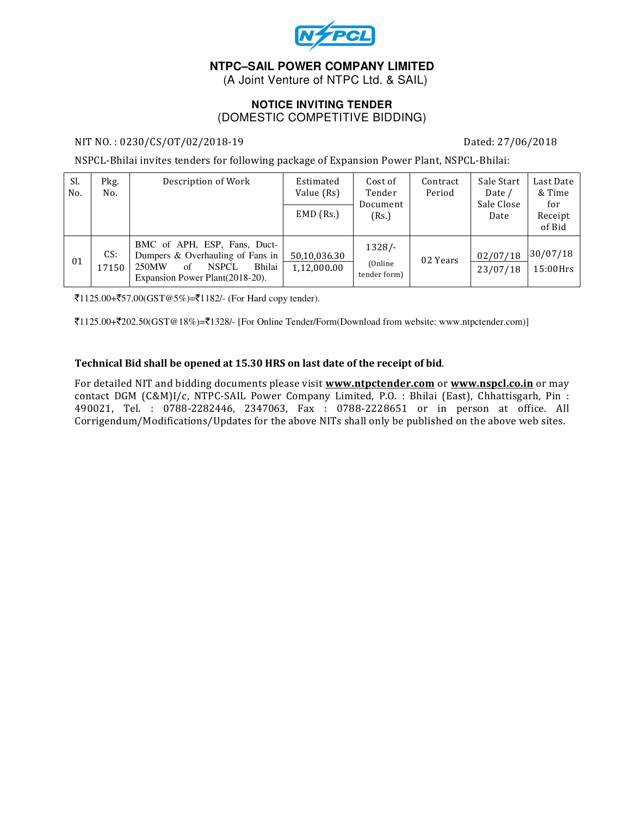

## **NTPC–SAIL POWER COMPANY LIMITED**

(A Joint Venture of NTPC Ltd. & SAIL)

### **NOTICE INVITING TENDER**  (DOMESTIC COMPETITIVE BIDDING)

### NIT NO. : 0230/CS/OT/02/2018-19 Dated: 27/06/2018

NSPCL-Bhilai invites tenders for following package of Expansion Power Plant, NSPCL-Bhilai:

| Sl.<br>No. | Pkg.<br>No.  | Description of Work                                                                                                                           | Estimated<br>Value (Rs)<br>$EMD$ (Rs.) | Cost of<br>Tender<br>Document<br>(Rs.) | Contract<br>Period | Sale Start<br>Date /<br>Sale Close<br>Date | Last Date<br>& Time<br>for<br>Receipt<br>of Bid |
|------------|--------------|-----------------------------------------------------------------------------------------------------------------------------------------------|----------------------------------------|----------------------------------------|--------------------|--------------------------------------------|-------------------------------------------------|
| 01         | CS:<br>17150 | BMC of APH, ESP, Fans, Duct-<br>Dumpers & Overhauling of Fans in<br>Bhilai<br>250MW<br><b>NSPCL</b><br>of<br>Expansion Power Plant (2018-20). | 50,10,036.30<br>1,12,000.00            | $1328/-$<br>(Online)<br>tender form)   | 02 Years           | 02/07/18<br>23/07/18                       | 30/07/18<br>$15:00$ Hrs                         |

 $\overline{51125.00} + \overline{557.00}$ (GST@5%)= $\overline{51182}$ /- (For Hard copy tender).

 $\bar{\xi}1125.00+\bar{\xi}202.50(GST@18\%)=\bar{\xi}1328/-$  [For Online Tender/Form(Download from website: www.ntpctender.com)]

#### Technical Bid shall be opened at 15.30 HRS on last date of the receipt of bid.

For detailed NIT and bidding documents please visit www.ntpctender.com or www.nspcl.co.in or may contact DGM (C&M)I/c, NTPC-SAIL Power Company Limited, P.O. : Bhilai (East), Chhattisgarh, Pin : 490021, Tel. : 0788-2282446, 2347063, Fax : 0788-2228651 or in person at office. All Corrigendum/Modifications/Updates for the above NITs shall only be published on the above web sites.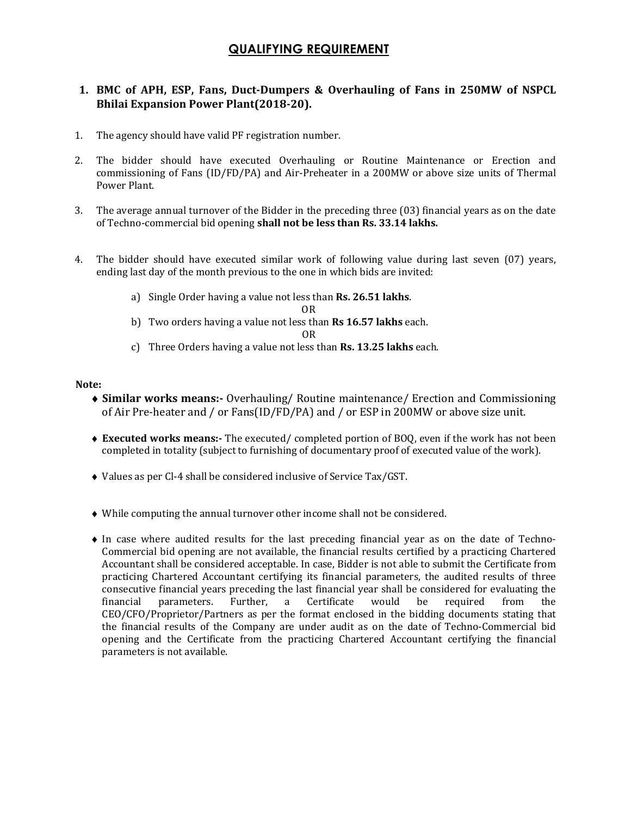# QUALIFYING REQUIREMENT

## 1. BMC of APH, ESP, Fans, Duct-Dumpers & Overhauling of Fans in 250MW of NSPCL Bhilai Expansion Power Plant(2018-20).

- 1. The agency should have valid PF registration number.
- 2. The bidder should have executed Overhauling or Routine Maintenance or Erection and commissioning of Fans (ID/FD/PA) and Air-Preheater in a 200MW or above size units of Thermal Power Plant.
- 3. The average annual turnover of the Bidder in the preceding three (03) financial years as on the date of Techno-commercial bid opening shall not be less than Rs. 33.14 lakhs.
- 4. The bidder should have executed similar work of following value during last seven (07) years, ending last day of the month previous to the one in which bids are invited:
	- a) Single Order having a value not less than Rs. 26.51 lakhs.
		- OR
	- b) Two orders having a value not less than **Rs 16.57 lakhs** each.

OR

c) Three Orders having a value not less than Rs. 13.25 lakhs each.

#### Note:

- ♦ Similar works means:- Overhauling/ Routine maintenance/ Erection and Commissioning of Air Pre-heater and / or Fans(ID/FD/PA) and / or ESP in 200MW or above size unit.
- ♦ Executed works means:- The executed/ completed portion of BOQ, even if the work has not been completed in totality (subject to furnishing of documentary proof of executed value of the work).
- ♦ Values as per Cl-4 shall be considered inclusive of Service Tax/GST.
- ♦ While computing the annual turnover other income shall not be considered.
- ♦ In case where audited results for the last preceding financial year as on the date of Techno-Commercial bid opening are not available, the financial results certified by a practicing Chartered Accountant shall be considered acceptable. In case, Bidder is not able to submit the Certificate from practicing Chartered Accountant certifying its financial parameters, the audited results of three consecutive financial years preceding the last financial year shall be considered for evaluating the financial parameters. Further, a Certificate would be required from the CEO/CFO/Proprietor/Partners as per the format enclosed in the bidding documents stating that the financial results of the Company are under audit as on the date of Techno-Commercial bid opening and the Certificate from the practicing Chartered Accountant certifying the financial parameters is not available.